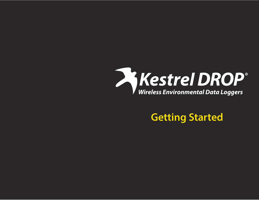

**Getting Started**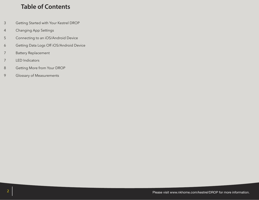### **Table of Contents**

- 3 Getting Started with Your Kestrel DROP
- 4 Changing App Settings
- 5 Connecting to an iOS/Android Device
- 6 Getting Data Logs Off iOS/Android Device
- 7 Battery Replacement
- 7 LED Indicators
- 8 Getting More from Your DROP
- 9 Glossary of Measurements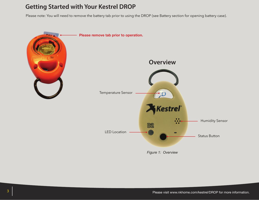### **Getting Started with Your Kestrel DROP**

Please note: You will need to remove the battery tab prior to using the DROP (see Battery section for opening battery case).



*Figure 1: Overview*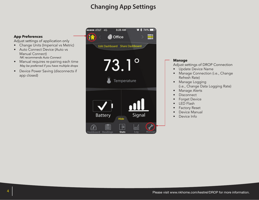# **Changing App Settings**

### **App Preferences**

Adjust settings of application only

- Change Units (Imperical vs Metric)
- Auto Connect Device (Auto vs Manual Connect) *NK recommends Auto Connect*
- Manual requires re-pairing each time *May be preferred if you have multiple drops*
- Device Power Saving (disconnects if app closed)



#### **Manage** Adjust settings of DROP Connection • Update Device Name • Manage Connection (i.e., Change Refresh Rate) • Manage Logging (i.e., Change Data Logging Rate) • Manage Alerts **Disconnect** Forget Device LED Flash Factory Reset Device Manual

• Device Info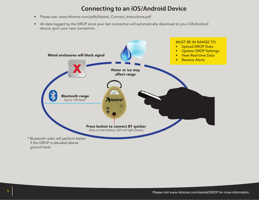## **Connecting to an iOS/Android Device**

- Please see: www.nkhome.com/pdfs/Kestrel\_Connect\_Instructions.pdf
- All data logged by the DROP since your last connection will automatically download to your iOS/Android device upon your next connection.

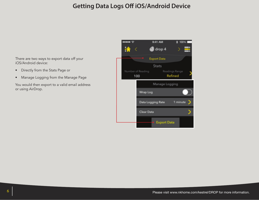## **Getting Data Logs Off iOS/Android Device**

There are two ways to export data off your iOS/Android device:

- Directly from the Stats Page or
- Manage Logging from the Manage Page

You would then export to a valid email address or using AirDrop.

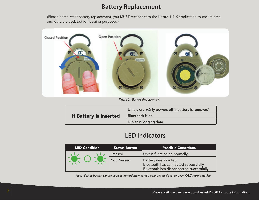### **Battery Replacement**

(Please note: After battery replacement, you MUST reconnect to the Kestrel LiNK application to ensure time and date are updated for logging purposes.)



*Figure 2: Battery Replacement*

| If Battery Is Inserted | Unit is on. (Only powers off if battery is removed) |
|------------------------|-----------------------------------------------------|
|                        | Bluetooth is on.                                    |
|                        | DROP is logging data.                               |

## **LED Indicators**

| <b>LED Condition</b> | <b>Status Button</b> | <b>Possible Conditions</b>               |
|----------------------|----------------------|------------------------------------------|
|                      | Pressed              | Unit is functioning normally.            |
|                      | Not Pressed          | Battery was inserted.                    |
|                      |                      | Bluetooth has connected successfully.    |
|                      |                      | Bluetooth has disconnected successfully. |

*Note: Status button can be used to immediately send a connection signal to your iOS/Android device.*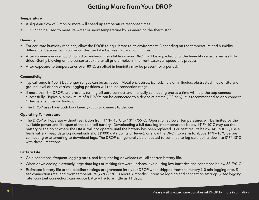# **Getting More from Your DROP**

#### **Temperature**

- A slight air flow of 2 mph or more will speed up temperature response times.
- DROP can be used to measure water or snow temperature by submerging the thermistor.

#### Humidity

- For accurate humidity readings, allow the DROP to equilibrate to its environment. Depending on the temperature and humidity differential between environments, this can take between 20 and 90 minutes.
- After submersion in a liquid, humidity readings, if available on your DROP, will be impacted until the humidity sensor area has fully dried. Gently blowing on the sensor area (the small grid of holes in the front case) can speed this process.
- After exposure to temperatures over 80°C, an offset in humidity may be present for a period.

#### **Connectivity**

- • Typical range is 100 ft but longer ranges can be achieved. Metal enclosures, ice, submersion in liquids, obstructed lines-of-site and ground level or non-vertical logging positions will reduce connection range.
- If more than 3-4 DROPs are present, turning off auto connect and manually connecting one at a time will help the app connect successfully. Typically, a maximum of 8 DROPs can be connected to a device at a time (iOS only). It is recommended to only connect 1 device at a time for Android.
- The DROP uses Bluetooth Low Energy (BLE) to connect to devices.

### Operating Temperature

• The DROP will operate without restriction from 14°F/-10°C to 131°F/55°C. Operation at lower temperatures will be limited by the available power and life span of the coin cell battery. Downloading a full data log in temperatures below 14°F/-10°C may tax the battery to the point where the DROP will not operate until the battery has been replaced. For best results below 14°F/-10°C, use a fresh battery, keep data log downloads short (1000 data points or fewer), or allow the DROP to warm to above 14°F/-10°C before connecting or attempting to download logs. The DROP can generally be expected to continue to log data points down to 0°F/-18°C with these limitations.

### Battery Life

- Cold conditions, frequent logging rates, and frequent log downloads will all shorten battery life.
- When downloading extremely large data logs or making firmware updates, avoid using low batteries and conditions below 32°F/0°C.
- Estimated battery life at the baseline settings programmed into your DROP when shipped from the factory (10 min logging rate, 5 sec connection rate) and room temperature (77°F/25°C) is about 4 months. Intensive logging and connection settings (2 sec logging rate, constant connection) can reduce battery life to as little as 11 days.